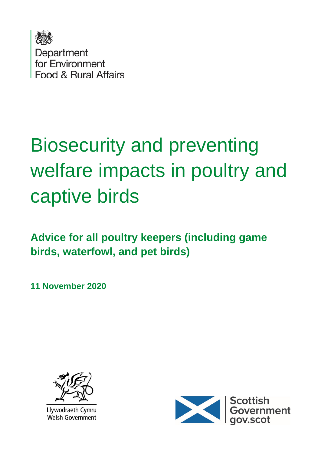

# Biosecurity and preventing welfare impacts in poultry and captive birds

**Advice for all poultry keepers (including game birds, waterfowl, and pet birds)**

**11 November 2020**



Llywodraeth Cymru **Welsh Government** 

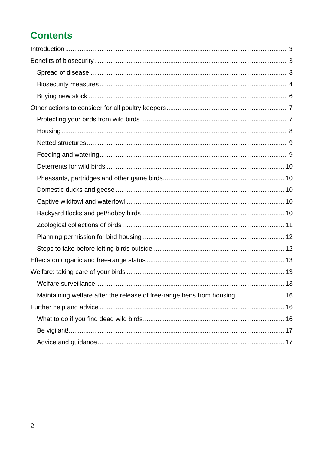## **Contents**

| Maintaining welfare after the release of free-range hens from housing 16 |  |
|--------------------------------------------------------------------------|--|
|                                                                          |  |
|                                                                          |  |
|                                                                          |  |
|                                                                          |  |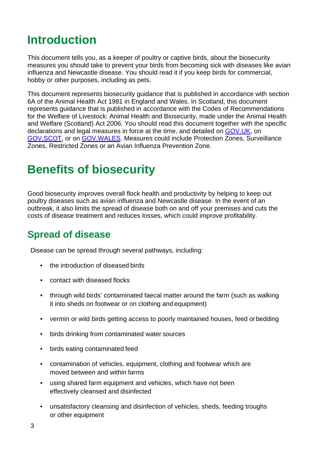## <span id="page-2-0"></span>**Introduction**

This document tells you, as a keeper of poultry or captive birds, about the biosecurity measures you should take to prevent your birds from becoming sick with diseases like avian influenza and Newcastle disease. You should read it if you keep birds for commercial, hobby or other purposes, including as pets.

This document represents biosecurity guidance that is published in accordance with section 6A of the Animal Health Act 1981 in England and Wales. In Scotland, this document represents guidance that is published in accordance with the Codes of Recommendations for the Welfare of Livestock: Animal Health and Biosecurity, made under the Animal Health and Welfare (Scotland) Act 2006. You should read this document together with the specific declarations and legal measures in force at the time, and detailed on [GOV.UK,](https://www.gov.uk/guidance/avian-influenza-bird-flu) on [GOV.SCOT,](http://www.gov.scot/animal-diseases) or on [GOV.WALES.](https://gov.wales/avian-influenza) Measures could include Protection Zones, Surveillance Zones, Restricted Zones or an Avian Influenza Prevention Zone.

## <span id="page-2-1"></span>**Benefits of biosecurity**

Good biosecurity improves overall flock health and productivity by helping to keep out poultry diseases such as avian influenza and Newcastle disease. In the event of an outbreak, it also limits the spread of disease both on and off your premises and cuts the costs of disease treatment and reduces losses, which could improve profitability.

#### <span id="page-2-2"></span>**Spread of disease**

Disease can be spread through several pathways, including:

- the introduction of diseased birds
- contact with diseased flocks
- through wild birds' contaminated faecal matter around the farm (such as walking it into sheds on footwear or on clothing and equipment)
- vermin or wild birds getting access to poorly maintained houses, feed orbedding
- birds drinking from contaminated water sources
- birds eating contaminated feed
- contamination of vehicles, equipment, clothing and footwear which are moved between and within farms
- using shared farm equipment and vehicles, which have not been effectively cleansed and disinfected
- unsatisfactory cleansing and disinfection of vehicles, sheds, feeding troughs or other equipment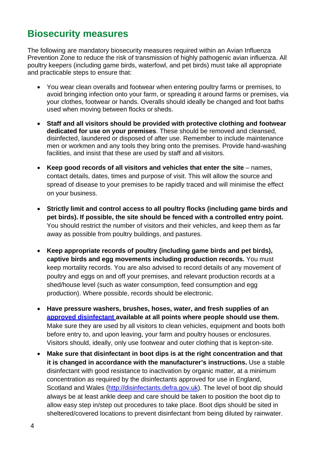#### <span id="page-3-0"></span>**Biosecurity measures**

The following are mandatory biosecurity measures required within an Avian Influenza Prevention Zone to reduce the risk of transmission of highly pathogenic avian influenza. All poultry keepers (including game birds, waterfowl, and pet birds) must take all appropriate and practicable steps to ensure that:

- You wear clean overalls and footwear when entering poultry farms or premises, to avoid bringing infection onto your farm, or spreading it around farms or premises, via your clothes, footwear or hands. Overalls should ideally be changed and foot baths used when moving between flocks or sheds.
- **Staff and all visitors should be provided with protective clothing and footwear dedicated for use on your premises**. These should be removed and cleansed, disinfected, laundered or disposed of after use. Remember to include maintenance men or workmen and any tools they bring onto the premises. Provide hand-washing facilities, and insist that these are used by staff and all visitors.
- Keep good records of all visitors and vehicles that enter the site names, contact details, dates, times and purpose of visit. This will allow the source and spread of disease to your premises to be rapidly traced and will minimise the effect on your business.
- **Strictly limit and control access to all poultry flocks (including game birds and pet birds). If possible, the site should be fenced with a controlled entry point.**  You should restrict the number of visitors and their vehicles, and keep them as far away as possible from poultry buildings, and pastures.
- **Keep appropriate records of poultry (including game birds and pet birds), captive birds and egg movements including production records.** You must keep mortality records. You are also advised to record details of any movement of poultry and eggs on and off your premises, and relevant production records at a shed/house level (such as water consumption, feed consumption and egg production). Where possible, records should be electronic.
- **Have pressure washers, brushes, hoses, water, and fresh supplies of an [approved disinfectant a](http://www.gov.uk/guidance/defra-approved-disinfectant-when-and-how-to-use-it)vailable at all points where people should use them.**  Make sure they are used by all visitors to clean vehicles, equipment and boots both before entry to, and upon leaving, your farm and poultry houses or enclosures. Visitors should, ideally, only use footwear and outer clothing that is kepton-site.
- **Make sure that disinfectant in boot dips is at the right concentration and that it is changed in accordance with the manufacturer's instructions.** Use a stable disinfectant with good resistance to inactivation by organic matter, at a minimum concentration as required by the disinfectants approved for use in England, Scotland and Wales [\(http://disinfectants.defra.gov.uk\)](http://disinfectants.defra.gov.uk/). The level of boot dip should always be at least ankle deep and care should be taken to position the boot dip to allow easy step in/step out procedures to take place. Boot dips should be sited in sheltered/covered locations to prevent disinfectant from being diluted by rainwater.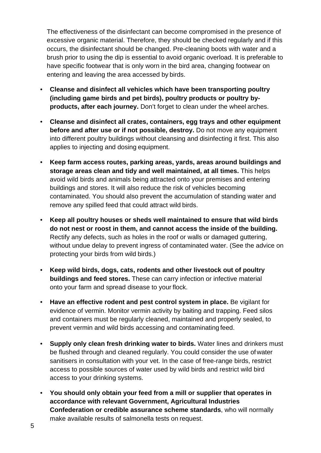The effectiveness of the disinfectant can become compromised in the presence of excessive organic material. Therefore, they should be checked regularly and if this occurs, the disinfectant should be changed. Pre-cleaning boots with water and a brush prior to using the dip is essential to avoid organic overload. It is preferable to have specific footwear that is only worn in the bird area, changing footwear on entering and leaving the area accessed by birds.

- **Cleanse and disinfect all vehicles which have been transporting poultry (including game birds and pet birds), poultry products or poultry byproducts, after each journey.** Don't forget to clean under the wheel arches.
- **Cleanse and disinfect all crates, containers, egg trays and other equipment before and after use or if not possible, destroy.** Do not move any equipment into different poultry buildings without cleansing and disinfecting it first. This also applies to injecting and dosing equipment.
- **Keep farm access routes, parking areas, yards, areas around buildings and storage areas clean and tidy and well maintained, at all times.** This helps avoid wild birds and animals being attracted onto your premises and entering buildings and stores. It will also reduce the risk of vehicles becoming contaminated. You should also prevent the accumulation of standing water and remove any spilled feed that could attract wild birds.
- **Keep all poultry houses or sheds well maintained to ensure that wild birds do not nest or roost in them, and cannot access the inside of the building.**  Rectify any defects, such as holes in the roof or walls or damaged guttering, without undue delay to prevent ingress of contaminated water. (See the advice on protecting your birds from wild birds.)
- **Keep wild birds, dogs, cats, rodents and other livestock out of poultry buildings and feed stores.** These can carry infection or infective material onto your farm and spread disease to your flock.
- **Have an effective rodent and pest control system in place.** Be vigilant for evidence of vermin. Monitor vermin activity by baiting and trapping. Feed silos and containers must be regularly cleaned, maintained and properly sealed, to prevent vermin and wild birds accessing and contaminating feed.
- **Supply only clean fresh drinking water to birds.** Water lines and drinkers must be flushed through and cleaned regularly. You could consider the use ofwater sanitisers in consultation with your vet. In the case of free-range birds, restrict access to possible sources of water used by wild birds and restrict wild bird access to your drinking systems.
- **You should only obtain your feed from a mill or supplier that operates in accordance with relevant Government, Agricultural Industries Confederation or credible assurance scheme standards**, who will normally make available results of salmonella tests on request.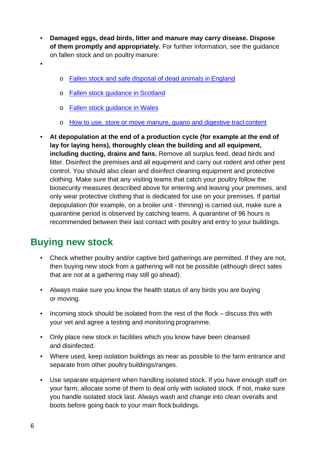- **Damaged eggs, dead birds, litter and manure may carry disease. Dispose of them promptly and appropriately.** For further information, see the guidance on fallen stock and on poultry manure:
- •
- o Fallen [stock and safe disposal of dead animals in](https://www.gov.uk/guidance/fallen-stock) England
- o [Fallen stock guidance in](https://www.gov.scot/publications/animal-by-products-disposal-guidance/pages/fallen-stock-and-other-animal-carcases/) Scotland
- o [Fallen stock guidance in Wales](https://gov.wales/animal-products-guidance)
- o [How to use, store or move manure, guano and digestive tract](https://www.gov.uk/guidance/how-to-use-store-or-move-manure-guano-and-digestive-tract-content) content
- **At depopulation at the end of a production cycle (for example at the end of lay for laying hens), thoroughly clean the building and all equipment, including ducting, drains and fans.** Remove all surplus feed, dead birds and litter. Disinfect the premises and all equipment and carry out rodent and other pest control. You should also clean and disinfect cleaning equipment and protective clothing. Make sure that any visiting teams that catch your poultry follow the biosecurity measures described above for entering and leaving your premises, and only wear protective clothing that is dedicated for use on your premises. If partial depopulation (for example, on a broiler unit - thinning) is carried out, make sure a quarantine period is observed by catching teams. A quarantine of 96 hours is recommended between their last contact with poultry and entry to your buildings.

#### <span id="page-5-0"></span>**Buying new stock**

- Check whether poultry and/or captive bird gatherings are permitted. If they are not, then buying new stock from a gathering will not be possible (although direct sales that are not at a gathering may still go ahead).
- Always make sure you know the health status of any birds you are buying or moving.
- Incoming stock should be isolated from the rest of the flock discuss this with your vet and agree a testing and monitoring programme.
- Only place new stock in facilities which you know have been cleansed and disinfected.
- Where used, keep isolation buildings as near as possible to the farm entrance and separate from other poultry buildings/ranges.
- Use separate equipment when handling isolated stock. If you have enough staff on your farm, allocate some of them to deal only with isolated stock. If not, make sure you handle isolated stock last. Always wash and change into clean overalls and boots before going back to your main flock buildings.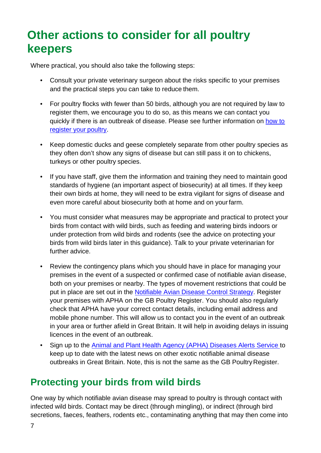## <span id="page-6-0"></span>**Other actions to consider for all poultry keepers**

Where practical, you should also take the following steps:

- Consult your private veterinary surgeon about the risks specific to your premises and the practical steps you can take to reduce them.
- For poultry flocks with fewer than 50 birds, although you are not required by law to register them, we encourage you to do so, as this means we can contact you quickly if there is an outbreak of disease. Please see further information on [how to](http://www.gov.uk/guidance/poultry-registration)  [register your](http://www.gov.uk/guidance/poultry-registration) poultry.
- Keep domestic ducks and geese completely separate from other poultry species as they often don't show any signs of disease but can still pass it on to chickens, turkeys or other poultry species.
- If you have staff, give them the information and training they need to maintain good standards of hygiene (an important aspect of biosecurity) at all times. If they keep their own birds at home, they will need to be extra vigilant for signs of disease and even more careful about biosecurity both at home and on yourfarm.
- You must consider what measures may be appropriate and practical to protect your birds from contact with wild birds, such as feeding and watering birds indoors or under protection from wild birds and rodents (see the advice on protecting your birds from wild birds later in this guidance). Talk to your private veterinarian for further advice.
- Review the contingency plans which you should have in place for managing your premises in the event of a suspected or confirmed case of notifiable avian disease, both on your premises or nearby. The types of movement restrictions that could be put in place are set out in the [Notifiable Avian Disease Control Strategy.](https://www.gov.uk/government/publications/notifiable-avian-disease-control-strategy) Register your premises with APHA on the GB Poultry Register. You should also regularly check that APHA have your correct contact details, including email address and mobile phone number. This will allow us to contact you in the event of an outbreak in your area or further afield in Great Britain. It will help in avoiding delays in issuing licences in the event of an outbreak.
- Sign up to the [Animal and Plant Health Agency \(APHA\) Diseases Alerts Service t](https://www.gov.uk/guidance/apha-alert-subscription-service)o keep up to date with the latest news on other exotic notifiable animal disease outbreaks in Great Britain. Note, this is not the same as the GB Poultry Register.

#### <span id="page-6-1"></span>**Protecting your birds from wild birds**

One way by which notifiable avian disease may spread to poultry is through contact with infected wild birds. Contact may be direct (through mingling), or indirect (through bird secretions, faeces, feathers, rodents etc., contaminating anything that may then come into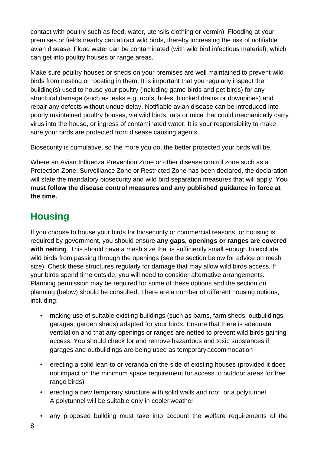contact with poultry such as feed, water, utensils clothing or vermin). Flooding at your premises or fields nearby can attract wild birds, thereby increasing the risk of notifiable avian disease. Flood water can be contaminated (with wild bird infectious material), which can get into poultry houses or range areas.

Make sure poultry houses or sheds on your premises are well maintained to prevent wild birds from nesting or roosting in them. It is important that you regularly inspect the building(s) used to house your poultry (including game birds and pet birds) for any structural damage (such as leaks e.g. roofs, holes, blocked drains or downpipes) and repair any defects without undue delay. Notifiable avian disease can be introduced into poorly maintained poultry houses, via wild birds, rats or mice that could mechanically carry virus into the house, or ingress of contaminated water. It is your responsibility to make sure your birds are protected from disease causing agents.

Biosecurity is cumulative, so the more you do, the better protected your birds will be.

Where an Avian Influenza Prevention Zone or other disease control zone such as a Protection Zone, Surveillance Zone or Restricted Zone has been declared, the declaration will state the mandatory biosecurity and wild bird separation measures that will apply. **You must follow the disease control measures and any published guidance in force at the time.**

#### <span id="page-7-0"></span>**Housing**

If you choose to house your birds for biosecurity or commercial reasons, or housing is required by government, you should ensure **any gaps, openings or ranges are covered with netting**. This should have a mesh size that is sufficiently small enough to exclude wild birds from passing through the openings (see the section below for advice on mesh size). Check these structures regularly for damage that may allow wild birds access. If your birds spend time outside, you will need to consider alternative arrangements. Planning permission may be required for some of these options and the section on planning (below) should be consulted. There are a number of different housing options, including:

- making use of suitable existing buildings (such as barns, farm sheds, outbuildings, garages, garden sheds) adapted for your birds. Ensure that there is adequate ventilation and that any openings or ranges are netted to prevent wild birds gaining access. You should check for and remove hazardous and toxic substances if garages and outbuildings are being used as temporary accommodation
- erecting a solid lean-to or veranda on the side of existing houses (provided it does not impact on the minimum space requirement for access to outdoor areas for free range birds)
- erecting a new temporary structure with solid walls and roof, or a polytunnel. A polytunnel will be suitable only in cooler weather
- any proposed building must take into account the welfare requirements of the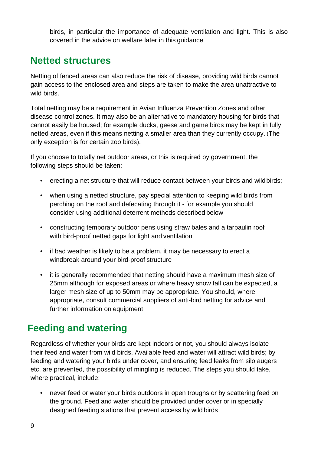birds, in particular the importance of adequate ventilation and light. This is also covered in the advice on welfare later in this guidance

#### <span id="page-8-0"></span>**Netted structures**

Netting of fenced areas can also reduce the risk of disease, providing wild birds cannot gain access to the enclosed area and steps are taken to make the area unattractive to wild birds.

Total netting may be a requirement in Avian Influenza Prevention Zones and other disease control zones. It may also be an alternative to mandatory housing for birds that cannot easily be housed; for example ducks, geese and game birds may be kept in fully netted areas, even if this means netting a smaller area than they currently occupy. (The only exception is for certain zoo birds).

If you choose to totally net outdoor areas, or this is required by government, the following steps should be taken:

- erecting a net structure that will reduce contact between your birds and wild birds;
- when using a netted structure, pay special attention to keeping wild birds from perching on the roof and defecating through it - for example you should consider using additional deterrent methods described below
- constructing temporary outdoor pens using straw bales and a tarpaulin roof with bird-proof netted gaps for light and ventilation
- if bad weather is likely to be a problem, it may be necessary to erect a windbreak around your bird-proof structure
- it is generally recommended that netting should have a maximum mesh size of 25mm although for exposed areas or where heavy snow fall can be expected, a larger mesh size of up to 50mm may be appropriate. You should, where appropriate, consult commercial suppliers of anti-bird netting for advice and further information on equipment

#### <span id="page-8-1"></span>**Feeding and watering**

Regardless of whether your birds are kept indoors or not, you should always isolate their feed and water from wild birds. Available feed and water will attract wild birds; by feeding and watering your birds under cover, and ensuring feed leaks from silo augers etc. are prevented, the possibility of mingling is reduced. The steps you should take, where practical, include:

• never feed or water your birds outdoors in open troughs or by scattering feed on the ground. Feed and water should be provided under cover or in specially designed feeding stations that prevent access by wild birds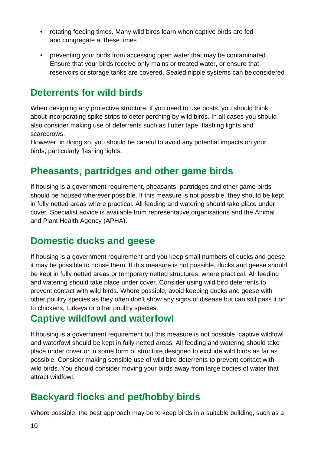- rotating feeding times. Many wild birds learn when captive birds are fed and congregate at these times
- preventing your birds from accessing open water that may be contaminated. Ensure that your birds receive only mains or treated water, or ensure that reservoirs or storage tanks are covered. Sealed nipple systems can be considered

#### <span id="page-9-0"></span>**Deterrents for wild birds**

When designing any protective structure, if you need to use posts, you should think about incorporating spike strips to deter perching by wild birds. In all cases you should also consider making use of deterrents such as flutter tape, flashing lights and scarecrows.

However, in doing so, you should be careful to avoid any potential impacts on your birds; particularly flashing lights.

#### <span id="page-9-1"></span>**Pheasants, partridges and other game birds**

If housing is a government requirement, pheasants, partridges and other game birds should be housed wherever possible. If this measure is not possible, they should be kept in fully netted areas where practical. All feeding and watering should take place under cover. Specialist advice is available from representative organisations and the Animal and Plant Health Agency (APHA).

#### <span id="page-9-2"></span>**Domestic ducks and geese**

If housing is a government requirement and you keep small numbers of ducks and geese, it may be possible to house them. If this measure is not possible, ducks and geese should be kept in fully netted areas or temporary netted structures, where practical. All feeding and watering should take place under cover. Consider using wild bird deterrents to prevent contact with wild birds. Where possible, avoid keeping ducks and geese with other poultry species as they often don't show any signs of disease but can still pass it on to chickens, turkeys or other poultry species.

#### <span id="page-9-3"></span>**Captive wildfowl and waterfowl**

If housing is a government requirement but this measure is not possible, captive wildfowl and waterfowl should be kept in fully netted areas. All feeding and watering should take place under cover or in some form of structure designed to exclude wild birds as far as possible. Consider making sensible use of wild bird deterrents to prevent contact with wild birds. You should consider moving your birds away from large bodies of water that attract wildfowl.

#### <span id="page-9-4"></span>**Backyard flocks and pet/hobby birds**

Where possible, the best approach may be to keep birds in a suitable building, such as a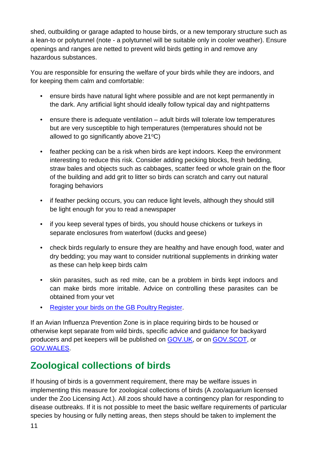shed, outbuilding or garage adapted to house birds, or a new temporary structure such as a lean-to or polytunnel (note - a polytunnel will be suitable only in cooler weather). Ensure openings and ranges are netted to prevent wild birds getting in and remove any hazardous substances.

You are responsible for ensuring the welfare of your birds while they are indoors, and for keeping them calm and comfortable:

- ensure birds have natural light where possible and are not kept permanently in the dark. Any artificial light should ideally follow typical day and nightpatterns
- ensure there is adequate ventilation adult birds will tolerate low temperatures but are very susceptible to high temperatures (temperatures should not be allowed to go significantly above  $21^{\circ}C$ )
- feather pecking can be a risk when birds are kept indoors. Keep the environment interesting to reduce this risk. Consider adding pecking blocks, fresh bedding, straw bales and objects such as cabbages, scatter feed or whole grain on the floor of the building and add grit to litter so birds can scratch and carry out natural foraging behaviors
- if feather pecking occurs, you can reduce light levels, although they should still be light enough for you to read a newspaper
- if you keep several types of birds, you should house chickens or turkeys in separate enclosures from waterfowl (ducks and geese)
- check birds regularly to ensure they are healthy and have enough food, water and dry bedding; you may want to consider nutritional supplements in drinking water as these can help keep birds calm
- skin parasites, such as red mite, can be a problem in birds kept indoors and can make birds more irritable. Advice on controlling these parasites can be obtained from your vet
- [Register your birds on the GB Poultry](http://www.gov.uk/guidance/poultry-registration) Register.

If an Avian Influenza Prevention Zone is in place requiring birds to be housed or otherwise kept separate from wild birds, specific advice and guidance for backyard producers and pet keepers will be published on [GOV.UK,](https://www.gov.uk/guidance/avian-influenza-bird-flu) or on [GOV.SCOT,](http://www.gov.scot/animal-diseases) or [GOV.WALES.](https://gov.wales/avian-influenza)

## <span id="page-10-0"></span>**Zoological collections of birds**

If housing of birds is a government requirement, there may be welfare issues in implementing this measure for zoological collections of birds (A zoo/aquarium licensed under the Zoo Licensing Act.). All zoos should have a contingency plan for responding to disease outbreaks. If it is not possible to meet the basic welfare requirements of particular species by housing or fully netting areas, then steps should be taken to implement the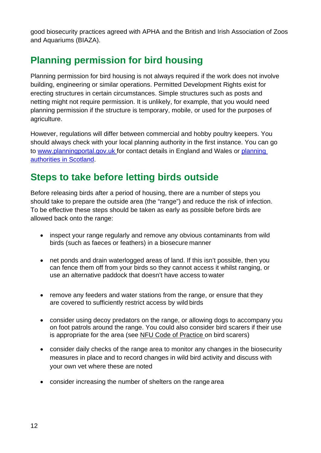good biosecurity practices agreed with APHA and the British and Irish Association of Zoos and Aquariums (BIAZA).

#### <span id="page-11-0"></span>**Planning permission for bird housing**

Planning permission for bird housing is not always required if the work does not involve building, engineering or similar operations. Permitted Development Rights exist for erecting structures in certain circumstances. Simple structures such as posts and netting might not require permission. It is unlikely, for example, that you would need planning permission if the structure is temporary, mobile, or used for the purposes of agriculture.

However, regulations will differ between commercial and hobby poultry keepers. You should always check with your local planning authority in the first instance. You can go to www.planningportal.gov.uk for contact details in England and Wales or [planning](http://www.scotland.gov.uk/Topics/Built-Environment/planning/Roles/Planning-Authorities) [authorities in Scotland.](http://www.scotland.gov.uk/Topics/Built-Environment/planning/Roles/Planning-Authorities)

#### <span id="page-11-1"></span>**Steps to take before letting birds outside**

Before releasing birds after a period of housing, there are a number of steps you should take to prepare the outside area (the "range") and reduce the risk of infection. To be effective these steps should be taken as early as possible before birds are allowed back onto the range:

- inspect your range regularly and remove any obvious contaminants from wild birds (such as faeces or feathers) in a biosecure manner
- net ponds and drain waterlogged areas of land. If this isn't possible, then you can fence them off from your birds so they cannot access it whilst ranging, or use an alternative paddock that doesn't have access to water
- remove any feeders and water stations from the range, or ensure that they are covered to sufficiently restrict access by wild birds
- consider using decoy predators on the range, or allowing dogs to accompany you on foot patrols around the range. You could also consider bird scarers if their use is appropriate for the area (see [NFU Code of Practice o](https://www.nfuonline.com/assets/4662)n bird scarers)
- consider daily checks of the range area to monitor any changes in the biosecurity measures in place and to record changes in wild bird activity and discuss with your own vet where these are noted
- consider increasing the number of shelters on the range area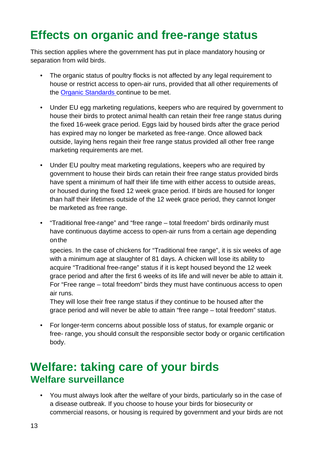## <span id="page-12-0"></span>**Effects on organic and free-range status**

This section applies where the government has put in place mandatory housing or separation from wild birds.

- The organic status of poultry flocks is not affected by any legal requirement to house or restrict access to open-air runs, provided that all other requirements of the [Organic Standards c](http://www.gov.uk/guidance/organic-farming-how-to-get-certification-and-apply-for-funding)ontinue to be met.
- Under EU egg marketing regulations, keepers who are required by government to house their birds to protect animal health can retain their free range status during the fixed 16-week grace period. Eggs laid by housed birds after the grace period has expired may no longer be marketed as free-range. Once allowed back outside, laying hens regain their free range status provided all other free range marketing requirements are met.
- Under EU poultry meat marketing regulations, keepers who are required by government to house their birds can retain their free range status provided birds have spent a minimum of half their life time with either access to outside areas, or housed during the fixed 12 week grace period. If birds are housed for longer than half their lifetimes outside of the 12 week grace period, they cannot longer be marketed as free range.
- "Traditional free-range" and "free range total freedom" birds ordinarily must have continuous daytime access to open-air runs from a certain age depending onthe

species. In the case of chickens for "Traditional free range", it is six weeks of age with a minimum age at slaughter of 81 days. A chicken will lose its ability to acquire "Traditional free-range" status if it is kept housed beyond the 12 week grace period and after the first 6 weeks of its life and will never be able to attain it. For "Free range – total freedom" birds they must have continuous access to open air runs.

They will lose their free range status if they continue to be housed after the grace period and will never be able to attain "free range – total freedom" status.

• For longer-term concerns about possible loss of status, for example organic or free- range, you should consult the responsible sector body or organic certification body.

## <span id="page-12-2"></span><span id="page-12-1"></span>**Welfare: taking care of your birds Welfare surveillance**

• You must always look after the welfare of your birds, particularly so in the case of a disease outbreak. If you choose to house your birds for biosecurity or commercial reasons, or housing is required by government and your birds are not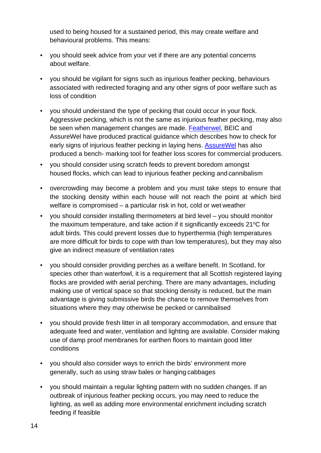used to being housed for a sustained period, this may create welfare and behavioural problems. This means:

- you should seek advice from your vet if there are any potential concerns about welfare.
- you should be vigilant for signs such as injurious feather pecking, behaviours associated with redirected foraging and any other signs of poor welfare such as loss of condition
- you should understand the type of pecking that could occur in your flock. Aggressive pecking, which is not the same as injurious feather pecking, may also be seen when management changes are made. [Featherwel,](https://www.featherwel.org/featherwel/Portals/3/Documents/advice_guide_V1.2-May-2013.pdf) BEIC and AssureWel have produced practical guidance which describes how to check for early signs of injurious feather pecking in laying hens. Assure Wel has also produced a bench- marking tool for feather loss scores for commercial producers.
- you should consider using scratch feeds to prevent boredom amongst housed flocks, which can lead to injurious feather pecking and cannibalism
- overcrowding may become a problem and you must take steps to ensure that the stocking density within each house will not reach the point at which bird welfare is compromised – a particular risk in hot, cold or wet weather
- you should consider installing thermometers at bird level you should monitor the maximum temperature, and take action if it significantly exceeds  $21^{\circ}$ C for adult birds. This could prevent losses due to hyperthermia (high temperatures are more difficult for birds to cope with than low temperatures), but they may also give an indirect measure of ventilation rates
- you should consider providing perches as a welfare benefit. In Scotland, for species other than waterfowl, it is a requirement that all Scottish registered laying flocks are provided with aerial perching. There are many advantages, including making use of vertical space so that stocking density is reduced, but the main advantage is giving submissive birds the chance to remove themselves from situations where they may otherwise be pecked or cannibalised
- you should provide fresh litter in all temporary accommodation, and ensure that adequate feed and water, ventilation and lighting are available. Consider making use of damp proof membranes for earthen floors to maintain good litter conditions
- you should also consider ways to enrich the birds' environment more generally, such as using straw bales or hanging cabbages
- you should maintain a regular lighting pattern with no sudden changes. If an outbreak of injurious feather pecking occurs, you may need to reduce the lighting, as well as adding more environmental enrichment including scratch feeding if feasible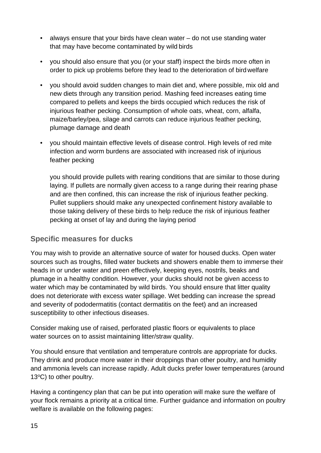- always ensure that your birds have clean water do not use standing water that may have become contaminated by wild birds
- you should also ensure that you (or your staff) inspect the birds more often in order to pick up problems before they lead to the deterioration of birdwelfare
- you should avoid sudden changes to main diet and, where possible, mix old and new diets through any transition period. Mashing feed increases eating time compared to pellets and keeps the birds occupied which reduces the risk of injurious feather pecking. Consumption of whole oats, wheat, corn, alfalfa, maize/barley/pea, silage and carrots can reduce injurious feather pecking, plumage damage and death
- you should maintain effective levels of disease control. High levels of red mite infection and worm burdens are associated with increased risk of injurious feather pecking

you should provide pullets with rearing conditions that are similar to those during laying. If pullets are normally given access to a range during their rearing phase and are then confined, this can increase the risk of injurious feather pecking. Pullet suppliers should make any unexpected confinement history available to those taking delivery of these birds to help reduce the risk of injurious feather pecking at onset of lay and during the laying period

#### **Specific measures for ducks**

You may wish to provide an alternative source of water for housed ducks. Open water sources such as troughs, filled water buckets and showers enable them to immerse their heads in or under water and preen effectively, keeping eyes, nostrils, beaks and plumage in a healthy condition. However, your ducks should not be given access to water which may be contaminated by wild birds. You should ensure that litter quality does not deteriorate with excess water spillage. Wet bedding can increase the spread and severity of pododermatitis (contact dermatitis on the feet) and an increased susceptibility to other infectious diseases.

Consider making use of raised, perforated plastic floors or equivalents to place water sources on to assist maintaining litter/straw quality.

You should ensure that ventilation and temperature controls are appropriate for ducks. They drink and produce more water in their droppings than other poultry, and humidity and ammonia levels can increase rapidly. Adult ducks prefer lower temperatures (around 13°C) to other poultry.

Having a contingency plan that can be put into operation will make sure the welfare of your flock remains a priority at a critical time. Further guidance and information on poultry welfare is available on the following pages: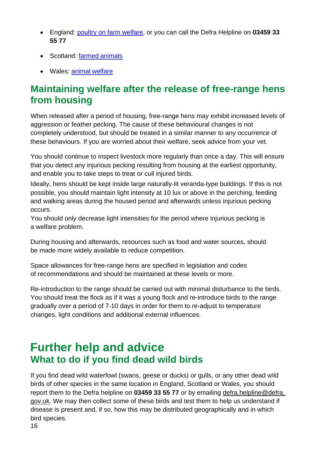- England: [poultry on farm welfare,](https://www.gov.uk/government/publications/poultry-on-farm-welfare) or you can call the Defra Helpline on **03459 33 55 77**
- Scotland: farmed [animals](http://www.gov.scot/Topics/farmingrural/Agriculture/animal-welfare/AnimalWelfare/farmed)
- Wales: animal [welfare](https://gov.wales/animal-welfare)

#### <span id="page-15-0"></span>**Maintaining welfare after the release of free-range hens from housing**

When released after a period of housing, free-range hens may exhibit increased levels of aggression or feather pecking. The cause of these behavioural changes is not completely understood, but should be treated in a similar manner to any occurrence of these behaviours. If you are worried about their welfare, seek advice from your vet.

You should continue to inspect livestock more regularly than once a day. This will ensure that you detect any injurious pecking resulting from housing at the earliest opportunity, and enable you to take steps to treat or cull injured birds.

Ideally, hens should be kept inside large naturally-lit veranda-type buildings. If this is not possible, you should maintain light intensity at 10 lux or above in the perching, feeding and walking areas during the housed period and afterwards unless injurious pecking occurs.

You should only decrease light intensities for the period where injurious pecking is a welfare problem.

During housing and afterwards, resources such as food and water sources, should be made more widely available to reduce competition.

Space allowances for free-range hens are specified in legislation and codes of recommendations and should be maintained at these levels or more.

Re-introduction to the range should be carried out with minimal disturbance to the birds. You should treat the flock as if it was a young flock and re-introduce birds to the range gradually over a period of 7-10 days in order for them to re-adjust to temperature changes, light conditions and additional external influences.

## <span id="page-15-2"></span><span id="page-15-1"></span>**Further help and advice What to do if you find dead wild birds**

If you find dead wild waterfowl (swans, geese or ducks) or gulls, or any other dead wild birds of other species in the same location in England, Scotland or Wales, you should report them to the Defra helpline on **03459 33 55 77** or by emailing defra.helpline@defra. gov.uk. We may then collect some of these birds and test them to help us understand if disease is present and, if so, how this may be distributed geographically and in which bird species.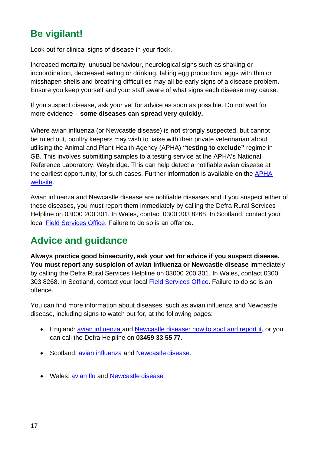#### <span id="page-16-0"></span>**Be vigilant!**

Look out for clinical signs of disease in your flock.

Increased mortality, unusual behaviour, neurological signs such as shaking or incoordination, decreased eating or drinking, falling egg production, eggs with thin or misshapen shells and breathing difficulties may all be early signs of a disease problem. Ensure you keep yourself and your staff aware of what signs each disease may cause.

If you suspect disease, ask your vet for advice as soon as possible. Do not wait for more evidence – **some diseases can spread very quickly.**

Where avian influenza (or Newcastle disease) is **not** strongly suspected, but cannot be ruled out, poultry keepers may wish to liaise with their private veterinarian about utilising the Animal and Plant Health Agency (APHA) **"testing to exclude"** regime in GB. This involves submitting samples to a testing service at the APHA's National Reference Laboratory, Weybridge. This can help detect a notifiable avian disease at the earliest opportunity, for such cases. Further information is available on the [APHA](http://apha.defra.gov.uk/vet-gateway/tte/index.htm)  [website.](http://apha.defra.gov.uk/vet-gateway/tte/index.htm)

Avian influenza and Newcastle disease are notifiable diseases and if you suspect either of these diseases, you must report them immediately by calling the Defra Rural Services Helpline on 03000 200 301. In Wales, contact 0300 303 8268. In Scotland, contact your local [Field Services Office.](https://www.gov.uk/government/organisations/animal-and-plant-health-agency/about/access-and-opening#scotland-field-service-offices) Failure to do so is an offence.

#### <span id="page-16-1"></span>**Advice and guidance**

**Always practice good biosecurity, ask your vet for advice if you suspect disease. You must report any suspicion of avian influenza or Newcastle disease** immediately by calling the Defra Rural Services Helpline on 03000 200 301. In Wales, contact 0300 303 8268. In Scotland, contact your local [Field Services Office.](https://www.gov.uk/government/organisations/animal-and-plant-health-agency/about/access-and-opening#scotland-field-service-offices) Failure to do so is an offence.

You can find more information about diseases, such as avian influenza and Newcastle disease, including signs to watch out for, at the following pages:

- England: [avian influenza a](https://www.gov.uk/guidance/avian-influenza-bird-flu)nd [Newcastle disease: how to spot and report it,](https://www.gov.uk/guidance/newcastle-disease) or you can call the Defra Helpline on **03459 33 55 77**.
- Scotland: [avian influenza a](http://www.gov.scot/avianinfluenza)nd [Newcastle](http://www.gov.scot/newcastledisease) disease.
- Wales: [avian flu a](https://gov.wales/avian-influenza)nd [Newcastle](https://gov.wales/newcastle-disease-guide) disease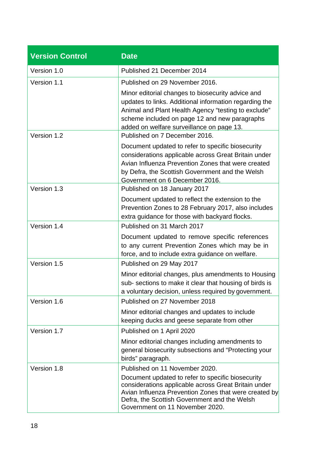| <b>Version Control</b> | <b>Date</b>                                                                                                                                                                                                                                                                             |
|------------------------|-----------------------------------------------------------------------------------------------------------------------------------------------------------------------------------------------------------------------------------------------------------------------------------------|
| Version 1.0            | Published 21 December 2014                                                                                                                                                                                                                                                              |
| Version 1.1            | Published on 29 November 2016.                                                                                                                                                                                                                                                          |
|                        | Minor editorial changes to biosecurity advice and<br>updates to links. Additional information regarding the<br>Animal and Plant Health Agency "testing to exclude"<br>scheme included on page 12 and new paragraphs<br>added on welfare surveillance on page 13.                        |
| Version 1.2            | Published on 7 December 2016.<br>Document updated to refer to specific biosecurity                                                                                                                                                                                                      |
|                        | considerations applicable across Great Britain under<br>Avian Influenza Prevention Zones that were created<br>by Defra, the Scottish Government and the Welsh<br>Government on 6 December 2016.                                                                                         |
| Version 1.3            | Published on 18 January 2017                                                                                                                                                                                                                                                            |
|                        | Document updated to reflect the extension to the<br>Prevention Zones to 28 February 2017, also includes<br>extra guidance for those with backyard flocks.                                                                                                                               |
| Version 1.4            | Published on 31 March 2017                                                                                                                                                                                                                                                              |
|                        | Document updated to remove specific references<br>to any current Prevention Zones which may be in<br>force, and to include extra guidance on welfare.                                                                                                                                   |
| Version 1.5            | Published on 29 May 2017                                                                                                                                                                                                                                                                |
|                        | Minor editorial changes, plus amendments to Housing<br>sub- sections to make it clear that housing of birds is<br>a voluntary decision, unless required by government.                                                                                                                  |
| Version 1.6            | Published on 27 November 2018                                                                                                                                                                                                                                                           |
|                        | Minor editorial changes and updates to include<br>keeping ducks and geese separate from other                                                                                                                                                                                           |
| Version 1.7            | Published on 1 April 2020                                                                                                                                                                                                                                                               |
|                        | Minor editorial changes including amendments to<br>general biosecurity subsections and "Protecting your<br>birds" paragraph.                                                                                                                                                            |
| Version 1.8            | Published on 11 November 2020.<br>Document updated to refer to specific biosecurity<br>considerations applicable across Great Britain under<br>Avian Influenza Prevention Zones that were created by<br>Defra, the Scottish Government and the Welsh<br>Government on 11 November 2020. |